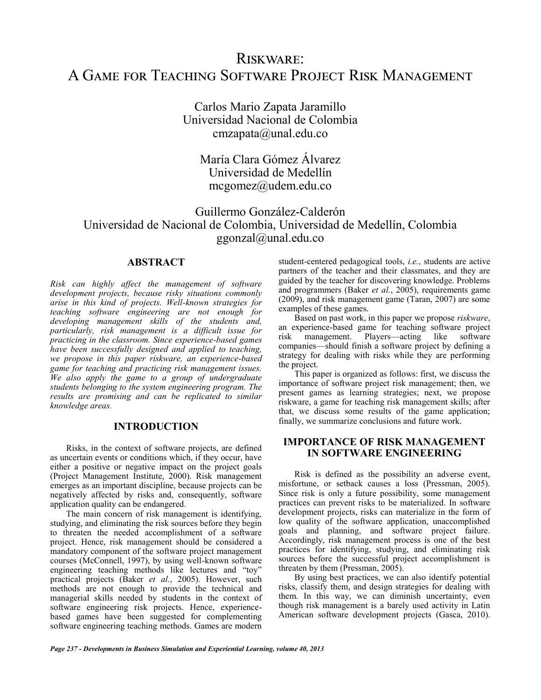# Riskware: A Game for Teaching Software Project Risk Management

Carlos Mario Zapata Jaramillo Universidad Nacional de Colombia [cmzapata@unal.edu.co](mailto:cmzapata@unal.edu.co)

María Clara Gómez Álvarez Universidad de Medellín [mcgomez@udem.edu.co](mailto:mcgomez@udem.edu.co)

## Guillermo González-Calderón Universidad de Nacional de Colombia, Universidad de Medellín, Colombia [ggonzal@unal.edu.co](mailto:ggonzal@unal.edu.co)

## **ABSTRACT**

*Risk can highly affect the management of software development projects, because risky situations commonly arise in this kind of projects. Well-known strategies for teaching software engineering are not enough for developing management skills of the students and, particularly, risk management is a difficult issue for practicing in the classroom. Since experience-based games have been successfully designed and applied to teaching, we propose in this paper riskware, an experience-based game for teaching and practicing risk management issues. We also apply the game to a group of undergraduate students belonging to the system engineering program. The results are promising and can be replicated to similar knowledge areas.*

#### **INTRODUCTION**

Risks, in the context of software projects, are defined as uncertain events or conditions which, if they occur, have either a positive or negative impact on the project goals (Project Management Institute, 2000). Risk management emerges as an important discipline, because projects can be negatively affected by risks and, consequently, software application quality can be endangered.

The main concern of risk management is identifying, studying, and eliminating the risk sources before they begin to threaten the needed accomplishment of a software project. Hence, risk management should be considered a mandatory component of the software project management courses (McConnell, 1997), by using well-known software engineering teaching methods like lectures and "toy" practical projects (Baker *et al.*, 2005). However, such methods are not enough to provide the technical and managerial skills needed by students in the context of software engineering risk projects. Hence, experiencebased games have been suggested for complementing software engineering teaching methods. Games are modern student-centered pedagogical tools, *i.e.*, students are active partners of the teacher and their classmates, and they are guided by the teacher for discovering knowledge. Problems and programmers (Baker *et al.*, 2005), requirements game (2009), and risk management game (Taran, 2007) are some examples of these games.

Based on past work, in this paper we propose *riskware*, an experience-based game for teaching software project risk management. Players—acting like software risk management. Players—acting like software companies—should finish a software project by defining a strategy for dealing with risks while they are performing the project.

This paper is organized as follows: first, we discuss the importance of software project risk management; then, we present games as learning strategies; next, we propose riskware, a game for teaching risk management skills; after that, we discuss some results of the game application; finally, we summarize conclusions and future work.

## **IMPORTANCE OF RISK MANAGEMENT IN SOFTWARE ENGINEERING**

Risk is defined as the possibility an adverse event, misfortune, or setback causes a loss (Pressman, 2005). Since risk is only a future possibility, some management practices can prevent risks to be materialized. In software development projects, risks can materialize in the form of low quality of the software application, unaccomplished goals and planning, and software project failure. Accordingly, risk management process is one of the best practices for identifying, studying, and eliminating risk sources before the successful project accomplishment is threaten by them (Pressman, 2005).

By using best practices, we can also identify potential risks, classify them, and design strategies for dealing with them. In this way, we can diminish uncertainty, even though risk management is a barely used activity in Latin American software development projects (Gasca, 2010).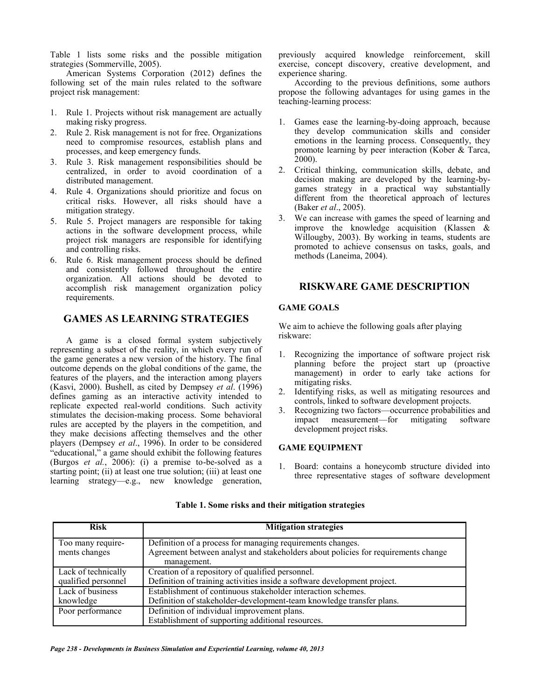Table 1 lists some risks and the possible mitigation strategies (Sommerville, 2005).

American Systems Corporation (2012) defines the following set of the main rules related to the software project risk management:

- 1. Rule 1. Projects without risk management are actually making risky progress.
- 2. Rule 2. Risk management is not for free. Organizations need to compromise resources, establish plans and processes, and keep emergency funds.
- 3. Rule 3. Risk management responsibilities should be centralized, in order to avoid coordination of a distributed management.
- Rule 4. Organizations should prioritize and focus on critical risks. However, all risks should have a mitigation strategy.
- 5. Rule 5. Project managers are responsible for taking actions in the software development process, while project risk managers are responsible for identifying and controlling risks.
- 6. Rule 6. Risk management process should be defined and consistently followed throughout the entire organization. All actions should be devoted to accomplish risk management organization policy requirements.

## **GAMES AS LEARNING STRATEGIES**

A game is a closed formal system subjectively representing a subset of the reality, in which every run of the game generates a new version of the history. The final outcome depends on the global conditions of the game, the features of the players, and the interaction among players (Kasvi, 2000). Bushell, as cited by Dempsey *et al*. (1996) defines gaming as an interactive activity intended to replicate expected real-world conditions. Such activity stimulates the decision-making process. Some behavioral rules are accepted by the players in the competition, and they make decisions affecting themselves and the other players (Dempsey *et al*., 1996). In order to be considered "educational," a game should exhibit the following features (Burgos et al., 2006): (i) a premise to-be-solved as a starting point; (ii) at least one true solution; (iii) at least one learning strategy—e.g., new knowledge generation, previously acquired knowledge reinforcement, skill exercise, concept discovery, creative development, and experience sharing.

According to the previous definitions, some authors propose the following advantages for using games in the teaching-learning process:

- Games ease the learning-by-doing approach, because they develop communication skills and consider emotions in the learning process. Consequently, they promote learning by peer interaction (Kober & Tarca, 2000).
- 2. Critical thinking, communication skills, debate, and decision making are developed by the learning-bygames strategy in a practical way substantially different from the theoretical approach of lectures (Baker *et al*., 2005).
- We can increase with games the speed of learning and improve the knowledge acquisition (Klassen & Willougby, 2003). By working in teams, students are promoted to achieve consensus on tasks, goals, and methods (Laneima, 2004).

## **RISKWARE GAME DESCRIPTION**

#### **GAME GOALS**

We aim to achieve the following goals after playing riskware:

- 1. Recognizing the importance of software project risk planning before the project start up (proactive management) in order to early take actions for mitigating risks.
- 2. Identifying risks, as well as mitigating resources and controls, linked to software development projects.
- 3. Recognizing two factors—occurrence probabilities and impact measurement—for mitigating software development project risks.

#### **GAME EQUIPMENT**

1. Board: contains a honeycomb structure divided into three representative stages of software development

| <b>Risk</b>                                | <b>Mitigation strategies</b>                                                                                                                                   |
|--------------------------------------------|----------------------------------------------------------------------------------------------------------------------------------------------------------------|
| Too many require-<br>ments changes         | Definition of a process for managing requirements changes.<br>Agreement between analyst and stakeholders about policies for requirements change<br>management. |
| Lack of technically<br>qualified personnel | Creation of a repository of qualified personnel.<br>Definition of training activities inside a software development project.                                   |
| Lack of business<br>knowledge              | Establishment of continuous stakeholder interaction schemes.<br>Definition of stakeholder-development-team knowledge transfer plans.                           |
| Poor performance                           | Definition of individual improvement plans.<br>Establishment of supporting additional resources.                                                               |

#### **Table 1. Some risks and their mitigation strategies**

*Page 238 - Developments in Business Simulation and Experiential Learning, volume 40, 2013*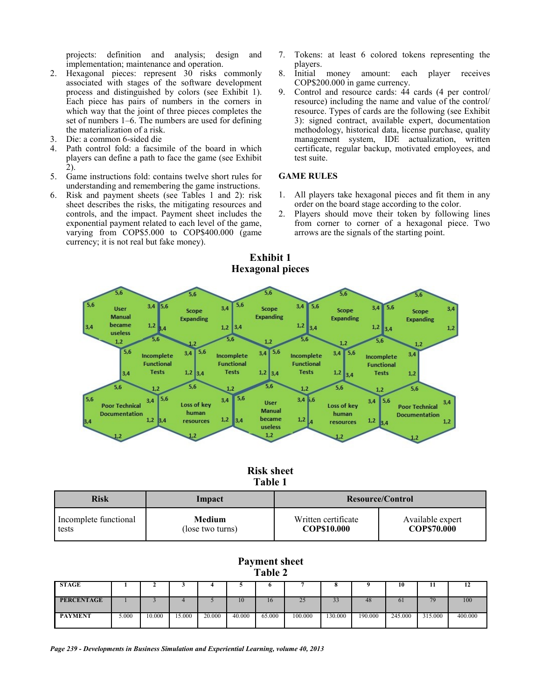projects: definition and analysis; design and implementation; maintenance and operation.

- 2. Hexagonal pieces: represent 30 risks commonly associated with stages of the software development process and distinguished by colors (see Exhibit 1). Each piece has pairs of numbers in the corners in which way that the joint of three pieces completes the set of numbers 1–6. The numbers are used for defining the materialization of a risk.
- 
- 3. Die: a common 6-sided die Path control fold: a facsimile of the board in which players can define a path to face the game (see Exhibit 2).
- 5. Game instructions fold: contains twelve short rules for understanding and remembering the game instructions.
- 6. Risk and payment sheets (see Tables 1 and 2): risk sheet describes the risks, the mitigating resources and controls, and the impact. Payment sheet includes the exponential payment related to each level of the game, varying from COP\$5.000 to COP\$400.000 (game currency; it is not real but fake money).
- 7. Tokens: at least 6 colored tokens representing the players.
- 8. Initial money amount: each player receives COP\$200.000 in game currency.
- 9. Control and resource cards: 44 cards (4 per control/ resource) including the name and value of the control/ resource. Types of cards are the following (see Exhibit 3): signed contract, available expert, documentation methodology, historical data, license purchase, quality management system, IDE actualization, written certificate, regular backup, motivated employees, and test suite.

#### **GAME RULES**

- 1. All players take hexagonal pieces and fit them in any order on the board stage according to the color.
- 2. Players should move their token by following lines from corner to corner of a hexagonal piece. Two arrows are the signals of the starting point.



**Exhibit 1**

## **Risk sheet Table 1**

| <b>Risk</b>           | Impact           | Resource/Control    |                  |  |
|-----------------------|------------------|---------------------|------------------|--|
| Incomplete functional | Medium           | Written certificate | Available expert |  |
| tests                 | (lose two turns) | COP\$10.000         | COP\$70.000      |  |

## **Payment sheet Table 2**

| <b>STAGE</b>      |       |        |        |        |        |        |          | c<br>$\bullet$ |         | 10             | 11      | 14      |
|-------------------|-------|--------|--------|--------|--------|--------|----------|----------------|---------|----------------|---------|---------|
| <b>PERCENTAGE</b> |       |        |        |        | 10     | 16     | 25<br>25 | 33             | 48      | 6 <sub>1</sub> | 79      | 100     |
| <b>PAYMENT</b>    | 5.000 | 10.000 | 15.000 | 20,000 | 40.000 | 65.000 | 100.000  | 130.000        | 190.000 | 245.000        | 315.000 | 400.000 |

*Page 239 - Developments in Business Simulation and Experiential Learning, volume 40, 2013*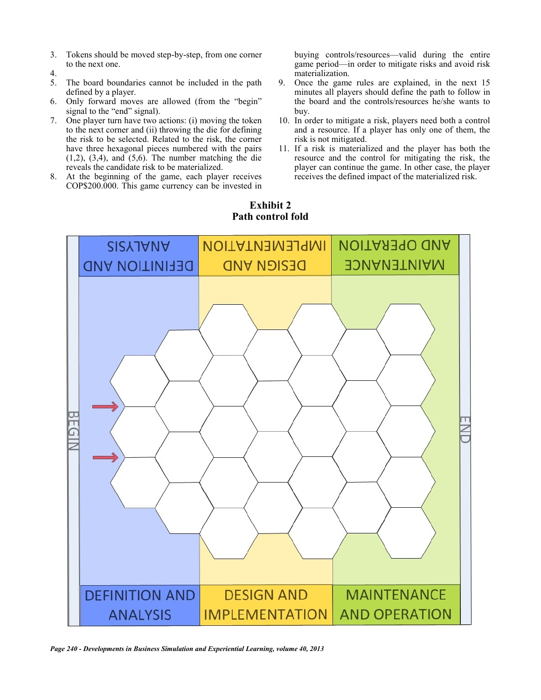- 3. Tokens should be moved step-by-step, from one corner to the next one.
- 4.
- 5. The board boundaries cannot be included in the path defined by a player.
- 6. Only forward moves are allowed (from the "begin" signal to the "end" signal).
- 7. One player turn have two actions: (i) moving the token to the next corner and (ii) throwing the die for defining the risk to be selected. Related to the risk, the corner have three hexagonal pieces numbered with the pairs  $(1,2)$ ,  $(3,4)$ , and  $(5,6)$ . The number matching the die reveals the candidate risk to be materialized.
- 8. At the beginning of the game, each player receives COP\$200.000. This game currency can be invested in

buying controls/resources—valid during the entire game period—in order to mitigate risks and avoid risk materialization.

- 9. Once the game rules are explained, in the next 15 minutes all players should define the path to follow in the board and the controls/resources he/she wants to buy.
- 10. In order to mitigate a risk, players need both a control and a resource. If a player has only one of them, the risk is not mitigated.
- 11. If a risk is materialized and the player has both the resource and the control for mitigating the risk, the player can continue the game. In other case, the player receives the defined impact of the materialized risk.

## **Exhibit 2 Path control fold**



*Page 240 - Developments in Business Simulation and Experiential Learning, volume 40, 2013*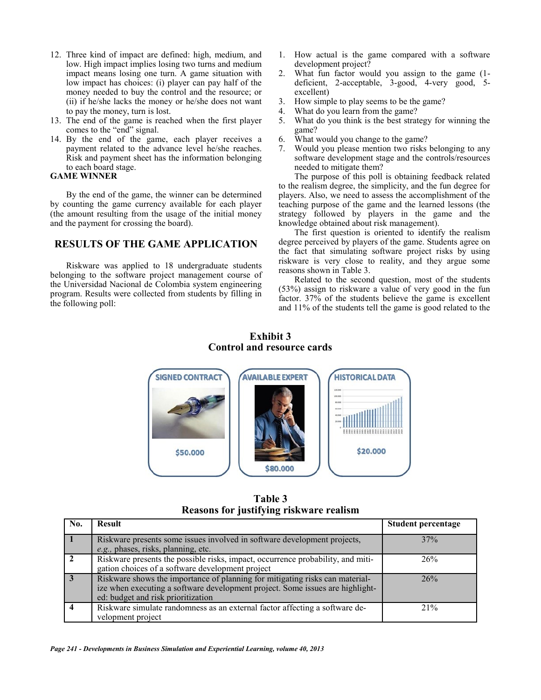- 12. Three kind of impact are defined: high, medium, and low. High impact implies losing two turns and medium impact means losing one turn. A game situation with low impact has choices: (i) player can pay half of the money needed to buy the control and the resource; or (ii) if he/she lacks the money or he/she does not want to pay the money, turn is lost.
- 13. The end of the game is reached when the first player comes to the "end" signal.
- 14. By the end of the game, each player receives a payment related to the advance level he/she reaches. Risk and payment sheet has the information belonging to each board stage.

#### **GAME WINNER**

By the end of the game, the winner can be determined by counting the game currency available for each player (the amount resulting from the usage of the initial money and the payment for crossing the board).

## **RESULTS OF THE GAME APPLICATION**

Riskware was applied to 18 undergraduate students belonging to the software project management course of the Universidad Nacional de Colombia system engineering program. Results were collected from students by filling in the following poll:

- 1. How actual is the game compared with a software development project?
- 2. What fun factor would you assign to the game (1 deficient, 2-acceptable, 3-good, 4-very good, 5 excellent)
- 3. How simple to play seems to be the game?
- 4. What do you learn from the game?
- 5. What do you think is the best strategy for winning the game?
- 6. What would you change to the game?
- 7. Would you please mention two risks belonging to any software development stage and the controls/resources needed to mitigate them?

The purpose of this poll is obtaining feedback related to the realism degree, the simplicity, and the fun degree for players. Also, we need to assess the accomplishment of the teaching purpose of the game and the learned lessons (the strategy followed by players in the game and the knowledge obtained about risk management).

The first question is oriented to identify the realism degree perceived by players of the game. Students agree on the fact that simulating software project risks by using riskware is very close to reality, and they argue some reasons shown in Table 3.

Related to the second question, most of the students (53%) assign to riskware a value of very good in the fun factor. 37% of the students believe the game is excellent and 11% of the students tell the game is good related to the

## **Exhibit 3 Control and resource cards**



**Table 3 Reasons for justifying riskware realism**

| No. | <b>Result</b>                                                                                                                                                                                       | <b>Student percentage</b> |
|-----|-----------------------------------------------------------------------------------------------------------------------------------------------------------------------------------------------------|---------------------------|
|     | Riskware presents some issues involved in software development projects,<br>e.g., phases, risks, planning, etc.                                                                                     | 37%                       |
|     | Riskware presents the possible risks, impact, occurrence probability, and miti-<br>gation choices of a software development project                                                                 | 26%                       |
|     | Riskware shows the importance of planning for mitigating risks can material-<br>ize when executing a software development project. Some issues are highlight-<br>ed: budget and risk prioritization | 26%                       |
|     | Riskware simulate randomness as an external factor affecting a software de-<br>velopment project                                                                                                    | 21%                       |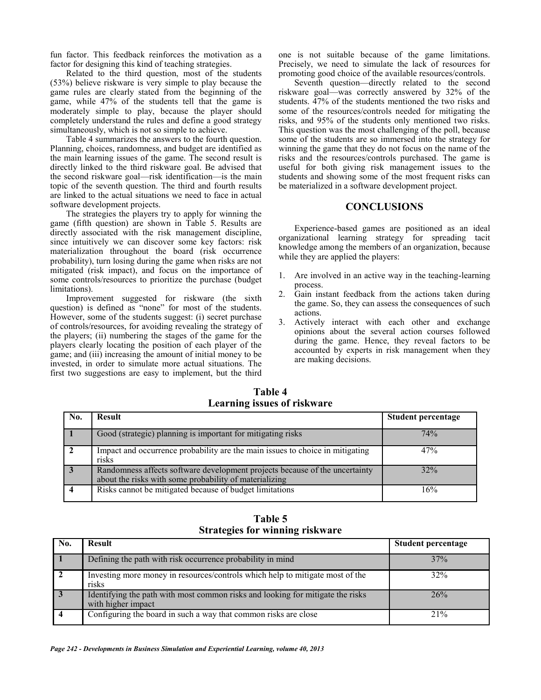fun factor. This feedback reinforces the motivation as a factor for designing this kind of teaching strategies.

Related to the third question, most of the students (53%) believe riskware is very simple to play because the game rules are clearly stated from the beginning of the game, while 47% of the students tell that the game is moderately simple to play, because the player should completely understand the rules and define a good strategy simultaneously, which is not so simple to achieve.

Table 4 summarizes the answers to the fourth question. Planning, choices, randomness, and budget are identified as the main learning issues of the game. The second result is directly linked to the third riskware goal. Be advised that the second riskware goal—risk identification—is the main topic of the seventh question. The third and fourth results are linked to the actual situations we need to face in actual software development projects.

The strategies the players try to apply for winning the game (fifth question) are shown in Table 5. Results are directly associated with the risk management discipline, since intuitively we can discover some key factors: risk materialization throughout the board (risk occurrence probability), turn losing during the game when risks are not mitigated (risk impact), and focus on the importance of some controls/resources to prioritize the purchase (budget limitations).

Improvement suggested for riskware (the sixth question) is defined as "none" for most of the students. However, some of the students suggest: (i) secret purchase of controls/resources, for avoiding revealing the strategy of the players; (ii) numbering the stages of the game for the players clearly locating the position of each player of the game; and (iii) increasing the amount of initial money to be invested, in order to simulate more actual situations. The first two suggestions are easy to implement, but the third

one is not suitable because of the game limitations. Precisely, we need to simulate the lack of resources for promoting good choice of the available resources/controls.

Seventh question—directly related to the second riskware goal—was correctly answered by 32% of the students. 47% of the students mentioned the two risks and some of the resources/controls needed for mitigating the risks, and 95% of the students only mentioned two risks. This question was the most challenging of the poll, because some of the students are so immersed into the strategy for winning the game that they do not focus on the name of the risks and the resources/controls purchased. The game is useful for both giving risk management issues to the students and showing some of the most frequent risks can be materialized in a software development project.

#### **CONCLUSIONS**

Experience-based games are positioned as an ideal organizational learning strategy for spreading tacit knowledge among the members of an organization, because while they are applied the players:

- 1. Are involved in an active way in the teaching-learning process.
- 2. Gain instant feedback from the actions taken during the game. So, they can assess the consequences of such actions.
- 3. Actively interact with each other and exchange opinions about the several action courses followed during the game. Hence, they reveal factors to be accounted by experts in risk management when they are making decisions.

**Table 4 Learning issues of riskware**

| No.            | <b>Result</b>                                                                                                                         | <b>Student percentage</b> |
|----------------|---------------------------------------------------------------------------------------------------------------------------------------|---------------------------|
|                | Good (strategic) planning is important for mitigating risks                                                                           | 74%                       |
| $\mathbf{2}$   | Impact and occurrence probability are the main issues to choice in mitigating<br>risks                                                | 47%                       |
| $\overline{3}$ | Randomness affects software development projects because of the uncertainty<br>about the risks with some probability of materializing | 32%                       |
|                | Risks cannot be mitigated because of budget limitations                                                                               | 16%                       |

**Table 5 Strategies for winning riskware**

| No. | <b>Result</b>                                                                                        | <b>Student percentage</b> |
|-----|------------------------------------------------------------------------------------------------------|---------------------------|
|     | Defining the path with risk occurrence probability in mind                                           | 37%                       |
|     | Investing more money in resources/controls which help to mitigate most of the<br>risks               | 32%                       |
|     | Identifying the path with most common risks and looking for mitigate the risks<br>with higher impact | 26%                       |
|     | Configuring the board in such a way that common risks are close                                      | 21%                       |